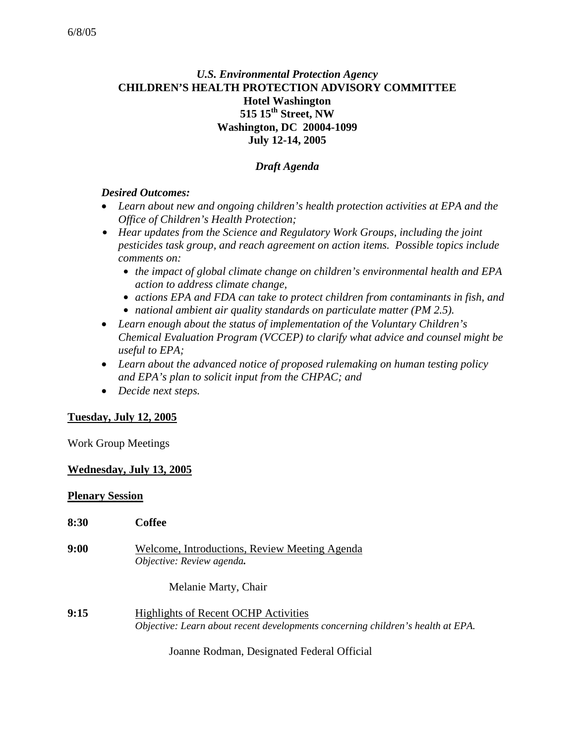# *U.S. Environmental Protection Agency* **CHILDREN'S HEALTH PROTECTION ADVISORY COMMITTEE Hotel Washington 515 15th Street, NW Washington, DC 20004-1099 July 12-14, 2005**

### *Draft Agenda*

#### *Desired Outcomes:*

- *Learn about new and ongoing children's health protection activities at EPA and the Office of Children's Health Protection;*
- Hear updates from the Science and Regulatory Work Groups, including the joint *pesticides task group, and reach agreement on action items. Possible topics include comments on:* 
	- *the impact of global climate change on children's environmental health and EPA action to address climate change,*
	- *actions EPA and FDA can take to protect children from contaminants in fish, and*
	- *national ambient air quality standards on particulate matter (PM 2.5).*
- *Learn enough about the status of implementation of the Voluntary Children's Chemical Evaluation Program (VCCEP) to clarify what advice and counsel might be useful to EPA;*
- *Learn about the advanced notice of proposed rulemaking on human testing policy and EPA's plan to solicit input from the CHPAC; and*
- *Decide next steps.*

### **Tuesday, July 12, 2005**

Work Group Meetings

### **Wednesday, July 13, 2005**

#### **Plenary Session**

| 8:30 | Coffee                                                                                                                         |
|------|--------------------------------------------------------------------------------------------------------------------------------|
| 9:00 | Welcome, Introductions, Review Meeting Agenda<br>Objective: Review agenda.                                                     |
|      | Melanie Marty, Chair                                                                                                           |
| 9:15 | <b>Highlights of Recent OCHP Activities</b><br>Objective: Learn about recent developments concerning children's health at EPA. |

Joanne Rodman, Designated Federal Official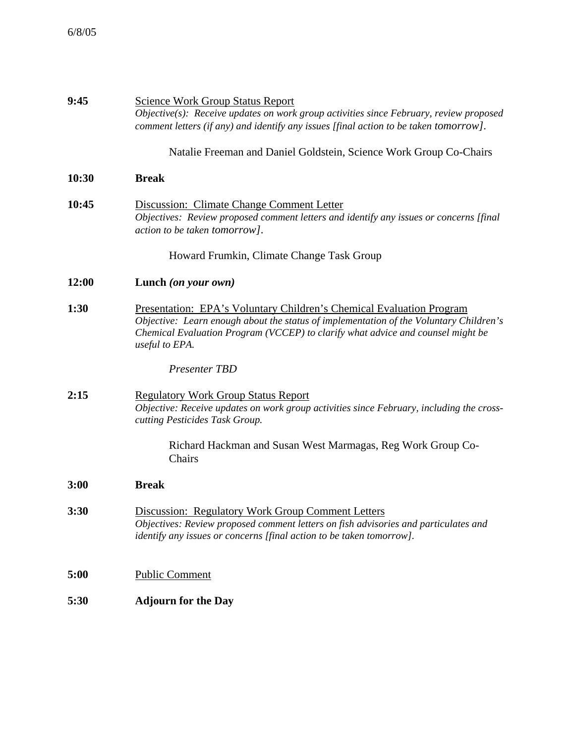| 9:45  | <b>Science Work Group Status Report</b><br>$Objective(s)$ : Receive updates on work group activities since February, review proposed<br>comment letters (if any) and identify any issues [final action to be taken tomorrow].                                              |
|-------|----------------------------------------------------------------------------------------------------------------------------------------------------------------------------------------------------------------------------------------------------------------------------|
|       | Natalie Freeman and Daniel Goldstein, Science Work Group Co-Chairs                                                                                                                                                                                                         |
| 10:30 | <b>Break</b>                                                                                                                                                                                                                                                               |
| 10:45 | Discussion: Climate Change Comment Letter<br>Objectives: Review proposed comment letters and identify any issues or concerns [final]<br>action to be taken tomorrow].                                                                                                      |
|       | Howard Frumkin, Climate Change Task Group                                                                                                                                                                                                                                  |
| 12:00 | Lunch (on your own)                                                                                                                                                                                                                                                        |
| 1:30  | <b>Presentation: EPA's Voluntary Children's Chemical Evaluation Program</b><br>Objective: Learn enough about the status of implementation of the Voluntary Children's<br>Chemical Evaluation Program (VCCEP) to clarify what advice and counsel might be<br>useful to EPA. |
|       | <b>Presenter TBD</b>                                                                                                                                                                                                                                                       |
| 2:15  | <b>Regulatory Work Group Status Report</b><br>Objective: Receive updates on work group activities since February, including the cross-<br>cutting Pesticides Task Group.                                                                                                   |
|       | Richard Hackman and Susan West Marmagas, Reg Work Group Co-<br>Chairs                                                                                                                                                                                                      |
| 3:00  | <b>Break</b>                                                                                                                                                                                                                                                               |
| 3:30  | <b>Discussion: Regulatory Work Group Comment Letters</b><br>Objectives: Review proposed comment letters on fish advisories and particulates and<br>identify any issues or concerns [final action to be taken tomorrow].                                                    |
| 5:00  | <b>Public Comment</b>                                                                                                                                                                                                                                                      |
| 5:30  | <b>Adjourn for the Day</b>                                                                                                                                                                                                                                                 |